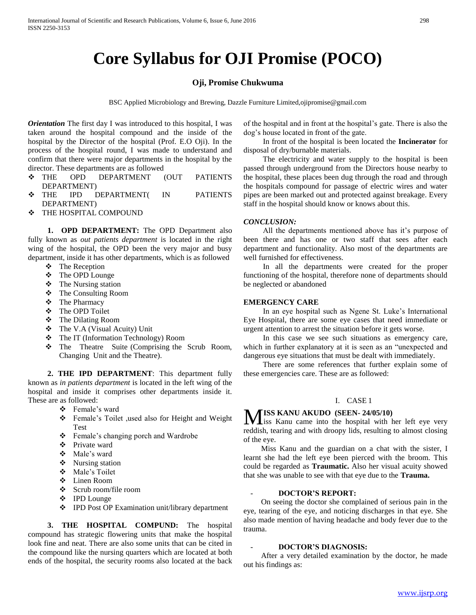# **Core Syllabus for OJI Promise (POCO)**

#### **Oji, Promise Chukwuma**

BSC Applied Microbiology and Brewing, Dazzle Furniture Limited,ojipromise@gmail.com

*Orientation* The first day I was introduced to this hospital, I was taken around the hospital compound and the inside of the hospital by the Director of the hospital (Prof. E.O Oji). In the process of the hospital round, I was made to understand and confirm that there were major departments in the hospital by the director. These departments are as followed

- THE OPD DEPARTMENT (OUT PATIENTS DEPARTMENT)
- THE IPD DEPARTMENT( IN PATIENTS DEPARTMENT)
- $\div$  THE HOSPITAL COMPOUND

 **1. OPD DEPARTMENT:** The OPD Department also fully known as *out patients department* is located in the right wing of the hospital, the OPD been the very major and busy department, inside it has other departments, which is as followed

- The Reception
- The OPD Lounge
- The Nursing station
- The Consulting Room
- The Pharmacy
- The OPD Toilet
- The Dilating Room
- The V.A (Visual Acuity) Unit
- **❖** The IT (Information Technology) Room
- $\triangle$  The Theatre Suite (Comprising the Scrub Room, Changing Unit and the Theatre).

 **2. THE IPD DEPARTMENT**: This department fully known as *in patients department* is located in the left wing of the hospital and inside it comprises other departments inside it. These are as followed:

- Female's ward
- Female's Toilet ,used also for Height and Weight Test
- Female's changing porch and Wardrobe
- Private ward
- Male's ward
- Nursing station
- Male's Toilet
- Linen Room
- Scrub room/file room
- IPD Lounge
- IPD Post OP Examination unit/library department

 **3. THE HOSPITAL COMPUND:** The hospital compound has strategic flowering units that make the hospital look fine and neat. There are also some units that can be cited in the compound like the nursing quarters which are located at both ends of the hospital, the security rooms also located at the back

of the hospital and in front at the hospital's gate. There is also the dog's house located in front of the gate.

In front of the hospital is been located the **Incinerator** for disposal of dry/burnable materials.

The electricity and water supply to the hospital is been passed through underground from the Directors house nearby to the hospital, these places been dug through the road and through the hospitals compound for passage of electric wires and water pipes are been marked out and protected against breakage. Every staff in the hospital should know or knows about this.

#### *CONCLUSION:*

All the departments mentioned above has it's purpose of been there and has one or two staff that sees after each department and functionality. Also most of the departments are well furnished for effectiveness.

In all the departments were created for the proper functioning of the hospital, therefore none of departments should be neglected or abandoned

#### **EMERGENCY CARE**

In an eye hospital such as Ngene St. Luke's International Eye Hospital, there are some eye cases that need immediate or urgent attention to arrest the situation before it gets worse.

In this case we see such situations as emergency care, which in further explanatory at it is seen as an "unexpected and dangerous eye situations that must be dealt with immediately.

There are some references that further explain some of these emergencies care. These are as followed:

#### I. CASE 1

## **ISS KANU AKUDO (SEEN- 24/05/10)**

**MISS KANU AKUDO** (SEEN-24/05/10)<br>Iss Kanu came into the hospital with her left eye very reddish, tearing and with droopy lids, resulting to almost closing of the eye.

 Miss Kanu and the guardian on a chat with the sister, I learnt she had the left eye been pierced with the broom. This could be regarded as **Traumatic.** Also her visual acuity showed that she was unable to see with that eye due to the **Trauma.** 

#### - **DOCTOR'S REPORT:**

 On seeing the doctor she complained of serious pain in the eye, tearing of the eye, and noticing discharges in that eye. She also made mention of having headache and body fever due to the trauma.

#### - **DOCTOR'S DIAGNOSIS:**

 After a very detailed examination by the doctor, he made out his findings as: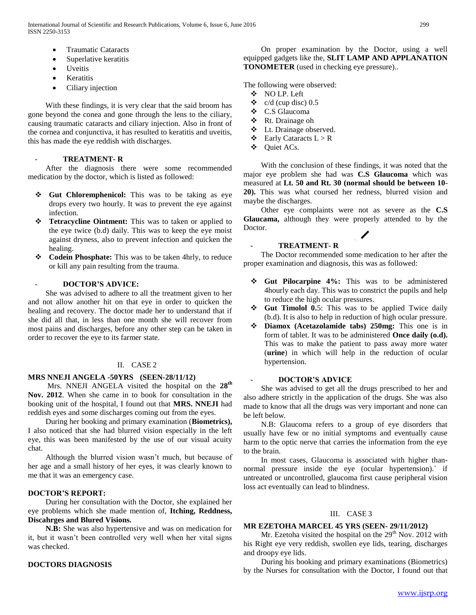- Traumatic Cataracts
- Superlative keratitis
- Uveitis
- Keratitis
- Ciliary injection

 With these findings, it is very clear that the said broom has gone beyond the conea and gone through the lens to the ciliary, causing traumatic cataracts and ciliary injection. Also in front of the cornea and conjunctiva, it has resulted to keratitis and uveitis, this has made the eye reddish with discharges.

## - **TREATMENT- R**

 After the diagnosis there were some recommended medication by the doctor, which is listed as followed:

- **❖** Gut Chloremphenicol: This was to be taking as eye drops every two hourly. It was to prevent the eye against infection.
- **Tetracycline Ointment:** This was to taken or applied to the eye twice (b.d) daily. This was to keep the eye moist against dryness, also to prevent infection and quicken the healing.
- **Codein Phosphate:** This was to be taken 4hrly, to reduce or kill any pain resulting from the trauma.

#### - **DOCTOR'S ADVICE:**

 She was advised to adhere to all the treatment given to her and not allow another hit on that eye in order to quicken the healing and recovery. The doctor made her to understand that if she did all that, in less than one month she will recover from most pains and discharges, before any other step can be taken in order to recover the eye to its farmer state.

#### II. CASE 2

#### **MRS NNEJI ANGELA -50YRS (SEEN-28/11/12)**

 Mrs. NNEJI ANGELA visited the hospital on the **28th Nov. 2012**. When she came in to book for consultation in the booking unit of the hospital, I found out that **MRS. NNEJI** had reddish eyes and some discharges coming out from the eyes.

 During her booking and primary examination (**Biometrics),**  I also noticed that she had blurred vision especially in the left eye, this was been manifested by the use of our visual acuity chat.

 Although the blurred vision wasn't much, but because of her age and a small history of her eyes, it was clearly known to me that it was an emergency case.

#### **DOCTOR'S REPORT:**

 During her consultation with the Doctor, she explained her eye problems which she made mention of, **Itching, Reddness, Discahrges and Blured Visions.**

 **N.B:** She was also hypertensive and was on medication for it, but it wasn't been controlled very well when her vital signs was checked.

#### **DOCTORS DIAGNOSIS**

 On proper examination by the Doctor, using a well equipped gadgets like the, **SLIT LAMP AND APPLANATION TONOMETER** (used in checking eye pressure)..

The following were observed:

- NO LP. Left
- $\div$  c/d (cup disc) 0.5
- C.S Glaucoma
- Rt. Drainage oh
- Lt. Drainage observed.
- $\bullet$  Early Cataracts  $L > R$
- ❖ Ouiet ACs.

 With the conclusion of these findings, it was noted that the major eye problem she had was **C.S Glaucoma** which was measured at **Lt. 50 and Rt. 30 (normal should be between 10- 20).** This was what coursed her redness, blurred vision and maybe the discharges.

 Other eye complaints were not as severe as the **C.S Glaucama,** although they were properly attended to by the Doctor.

#### - **TREATMENT- R**

 The Doctor recommended some medication to her after the proper examination and diagnosis, this was as followed:

- **Gut Pilocarpine 4%:** This was to be administered 4hourly each day. This was to constrict the pupils and help to reduce the high ocular pressures.
- **Gut Timolol 0.**5: This was to be applied Twice daily (b.d). It is also to help in reduction of high ocular pressure.
- **Diamox (Acetazolamide tabs) 250mg:** This one is in form of tablet. It was to be administered **Once daily (o.d).** This was to make the patient to pass away more water (**urine**) in which will help in the reduction of ocular hypertension.

## - **DOCTOR'S ADVICE**

 She was advised to get all the drugs prescribed to her and also adhere strictly in the application of the drugs. She was also made to know that all the drugs was very important and none can be left below.

 N.B: Glaucoma refers to a group of eye disorders that usually have few or no initial symptoms and eventually cause harm to the optic nerve that carries the information from the eye to the brain.

 In most cases, Glaucoma is associated with higher thannormal pressure inside the eye (ocular hypertension).` if untreated or uncontrolled, glaucoma first cause peripheral vision loss act eventually can lead to blindness.

#### III. CASE 3

## **MR EZETOHA MARCEL 45 YRS (SEEN- 29/11/2012)**

Mr. Ezetoha visited the hospital on the  $29<sup>th</sup>$  Nov. 2012 with his Right eye very reddish, swollen eye lids, tearing, discharges and droopy eye lids.

 During his booking and primary examinations (Biometrics) by the Nurses for consultation with the Doctor, I found out that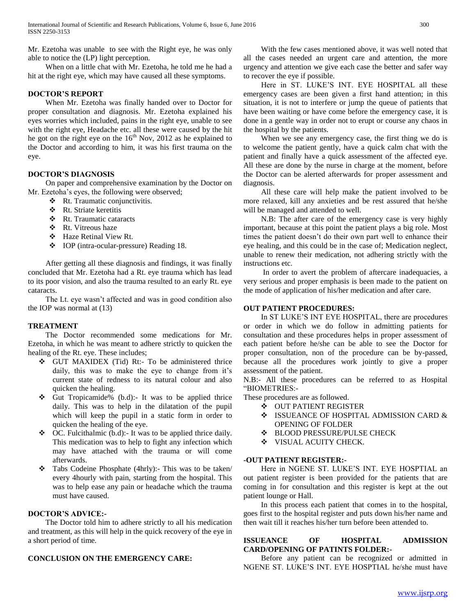Mr. Ezetoha was unable to see with the Right eye, he was only able to notice the (LP) light perception.

 When on a little chat with Mr. Ezetoha, he told me he had a hit at the right eye, which may have caused all these symptoms.

## **DOCTOR'S REPORT**

 When Mr. Ezetoha was finally handed over to Doctor for proper consultation and diagnosis. Mr. Ezetoha explained his eyes worries which included, pains in the right eye, unable to see with the right eye, Headache etc. all these were caused by the hit he got on the right eye on the  $16<sup>th</sup>$  Nov, 2012 as he explained to the Doctor and according to him, it was his first trauma on the eye.

## **DOCTOR'S DIAGNOSIS**

 On paper and comprehensive examination by the Doctor on Mr. Ezetoha's eyes, the following were observed;

- **A** Rt. Traumatic conjunctivitis.<br> **A** Rt. Striate keretitis
- Rt. Striate keretitis
- Rt. Traumatic cataracts
- ❖ Rt. Vitreous haze
- Haze Retinal View Rt.
- IOP (intra-ocular-pressure) Reading 18.

 After getting all these diagnosis and findings, it was finally concluded that Mr. Ezetoha had a Rt. eye trauma which has lead to its poor vision, and also the trauma resulted to an early Rt. eye cataracts.

 The Lt. eye wasn't affected and was in good condition also the IOP was normal at (13)

## **TREATMENT**

 The Doctor recommended some medications for Mr. Ezetoha, in which he was meant to adhere strictly to quicken the healing of the Rt. eye. These includes;

- GUT MAXIDEX (Tid) Rt:- To be administered thrice daily, this was to make the eye to change from it's current state of redness to its natural colour and also quicken the healing.
- Gut Tropicamide% (b.d):- It was to be applied thrice daily. This was to help in the dilatation of the pupil which will keep the pupil in a static form in order to quicken the healing of the eye.
- $\triangleleft$  OC. Fulcithalmic (b.d):- It was to be applied thrice daily. This medication was to help to fight any infection which may have attached with the trauma or will come afterwards.
- \* Tabs Codeine Phosphate (4hrly):- This was to be taken/ every 4hourly with pain, starting from the hospital. This was to help ease any pain or headache which the trauma must have caused.

#### **DOCTOR'S ADVICE:-**

 The Doctor told him to adhere strictly to all his medication and treatment, as this will help in the quick recovery of the eye in a short period of time.

## **CONCLUSION ON THE EMERGENCY CARE:**

 With the few cases mentioned above, it was well noted that all the cases needed an urgent care and attention, the more urgency and attention we give each case the better and safer way to recover the eye if possible.

 Here in ST. LUKE'S INT. EYE HOSPITAL all these emergency cases are been given a first hand attention; in this situation, it is not to interfere or jump the queue of patients that have been waiting or have come before the emergency case, it is done in a gentle way in order not to erupt or course any chaos in the hospital by the patients.

 When we see any emergency case, the first thing we do is to welcome the patient gently, have a quick calm chat with the patient and finally have a quick assessment of the affected eye. All these are done by the nurse in charge at the moment, before the Doctor can be alerted afterwards for proper assessment and diagnosis.

 All these care will help make the patient involved to be more relaxed, kill any anxieties and be rest assured that he/she will be managed and attended to well.

 N.B: The after care of the emergency case is very highly important, because at this point the patient plays a big role. Most times the patient doesn't do their own part well to enhance their eye healing, and this could be in the case of; Medication neglect, unable to renew their medication, not adhering strictly with the instructions etc.

 In order to avert the problem of aftercare inadequacies, a very serious and proper emphasis is been made to the patient on the mode of application of his/her medication and after care.

## **OUT PATIENT PROCEDURES:**

 In ST LUKE'S INT EYE HOSPITAL, there are procedures or order in which we do follow in admitting patients for consultation and these procedures helps in proper assessment of each patient before he/she can be able to see the Doctor for proper consultation, non of the procedure can be by-passed, because all the procedures work jointly to give a proper assessment of the patient.

N.B:- All these procedures can be referred to as Hospital "BIOMETRIES:-

These procedures are as followed.

- OUT PATIENT REGISTER
- $\div$  ISSUEANCE OF HOSPITAL ADMISSION CARD & OPENING OF FOLDER
- **❖** BLOOD PRESSURE/PULSE CHECK
- **VISUAL ACUITY CHECK.**

#### **-OUT PATIENT REGISTER:-**

 Here in NGENE ST. LUKE'S INT. EYE HOSPTIAL an out patient register is been provided for the patients that are coming in for consultation and this register is kept at the out patient lounge or Hall.

 In this process each patient that comes in to the hospital, goes first to the hospital register and puts down his/her name and then wait till it reaches his/her turn before been attended to.

#### **ISSUEANCE OF HOSPITAL ADMISSION CARD/OPENING OF PATINTS FOLDER:-**

 Before any patient can be recognized or admitted in NGENE ST. LUKE'S INT. EYE HOSPTIAL he/she must have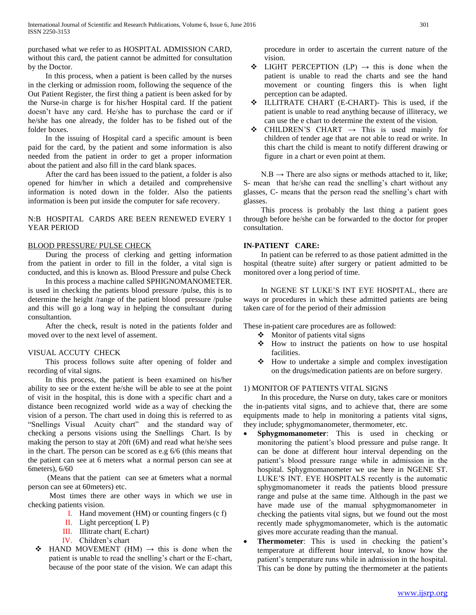purchased what we refer to as HOSPITAL ADMISSION CARD, without this card, the patient cannot be admitted for consultation by the Doctor.

 In this process, when a patient is been called by the nurses in the clerking or admission room, following the sequence of the Out Patient Register, the first thing a patient is been asked for by the Nurse-in charge is for his/her Hospital card. If the patient doesn't have any card. He/she has to purchase the card or if he/she has one already, the folder has to be fished out of the folder boxes.

 In the issuing of Hospital card a specific amount is been paid for the card, by the patient and some information is also needed from the patient in order to get a proper information about the patient and also fill in the card blank spaces.

 After the card has been issued to the patient, a folder is also opened for him/her in which a detailed and comprehensive information is noted down in the folder. Also the patients information is been put inside the computer for safe recovery.

## N:B HOSPITAL CARDS ARE BEEN RENEWED EVERY 1 YEAR PERIOD

## BLOOD PRESSURE/ PULSE CHECK

 During the process of clerking and getting information from the patient in order to fill in the folder, a vital sign is conducted, and this is known as. Blood Pressure and pulse Check

 In this process a machine called SPHIGNOMANOMETER. is used in checking the patients blood pressure /pulse, this is to determine the height /range of the patient blood pressure /pulse and this will go a long way in helping the consultant during consultantion.

 After the check, result is noted in the patients folder and moved over to the next level of assement.

## VISUAL ACCUTY CHECK

 This process follows suite after opening of folder and recording of vital signs.

 In this process, the patient is been examined on his/her ability to see or the extent he/she will be able to see at the point of visit in the hospital, this is done with a specific chart and a distance been recognized world wide as a way of checking the vision of a person. The chart used in doing this is referred to as "Snellings Visual Acuity chart" and the standard way of checking a persons visions using the Snellings Chart. Is by making the person to stay at 20ft (6M) and read what he/she sees in the chart. The person can be scored as e.g 6/6 (this means that the patient can see at 6 meters what a normal person can see at 6meters), 6/60

 (Means that the patient can see at 6meters what a normal person can see at 60meters) etc.

 Most times there are other ways in which we use in checking patients vision.

- I. Hand movement (HM) or counting fingers (c f)
- II. Light perception( L P)
- III. Illitrate chart( E.chart)
- IV. Children's chart
- $\div$  HAND MOVEMENT (HM)  $\rightarrow$  this is done when the patient is unable to read the snelling's chart or the E-chart, because of the poor state of the vision. We can adapt this

procedure in order to ascertain the current nature of the vision.

- $\div$  LIGHT PERCEPTION (LP)  $\rightarrow$  this is done when the patient is unable to read the charts and see the hand movement or counting fingers this is when light perception can be adapted.
- ILLITRATE CHART (E-CHART)- This is used, if the patient is unable to read anything because of illiteracy, we can use the e chart to determine the extent of the vision.
- CHILDREN'S CHART  $\rightarrow$  This is used mainly for children of tender age that are not able to read or write. In this chart the child is meant to notify different drawing or figure in a chart or even point at them.

 $N.B \rightarrow$  There are also signs or methods attached to it, like; S- mean that he/she can read the snelling's chart without any glasses, C- means that the person read the snelling's chart with glasses.

 This process is probably the last thing a patient goes through before he/she can be forwarded to the doctor for proper consultation.

## **IN-PATIENT CARE:**

 In patient can be referred to as those patient admitted in the hospital (theatre suite) after surgery or patient admitted to be monitored over a long period of time.

 In NGENE ST LUKE'S INT EYE HOSPITAL, there are ways or procedures in which these admitted patients are being taken care of for the period of their admission

These in-patient care procedures are as followed:

- $\triangleleft$  Monitor of patients vital signs
- $\div$  How to instruct the patients on how to use hospital facilities.
- How to undertake a simple and complex investigation on the drugs/medication patients are on before surgery.

## 1) MONITOR OF PATIENTS VITAL SIGNS

 In this procedure, the Nurse on duty, takes care or monitors the in-patients vital signs, and to achieve that, there are some equipments made to help in monitoring a patients vital signs, they include; sphygmomanometer, thermometer, etc.

- **Sphygmomanometer**: This is used in checking or monitoring the patient's blood pressure and pulse range. It can be done at different hour interval depending on the patient's blood pressure range while in admission in the hospital. Sphygmomanometer we use here in NGENE ST. LUKE'S INT. EYE HOSPITALS recently is the automatic sphygmomanometer it reads the patients blood pressure range and pulse at the same time. Although in the past we have made use of the manual sphygmomanometer in checking the patients vital signs, but we found out the most recently made sphygmomanometer, which is the automatic gives more accurate reading than the manual.
- **Thermometer**: This is used in checking the patient's temperature at different hour interval, to know how the patient's temperature runs while in admission in the hospital. This can be done by putting the thermometer at the patients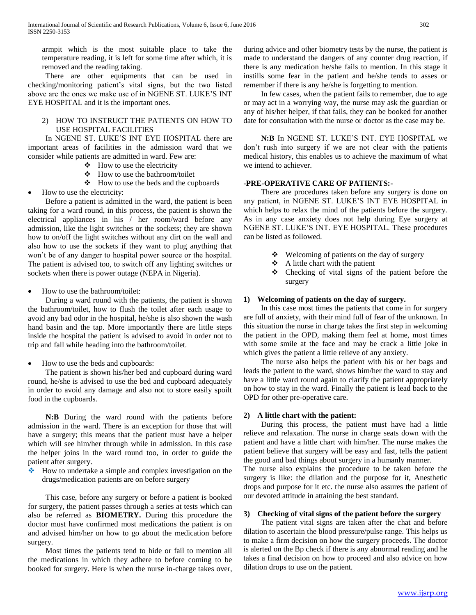armpit which is the most suitable place to take the temperature reading, it is left for some time after which, it is removed and the reading taking.

 There are other equipments that can be used in checking/monitoring patient's vital signs, but the two listed above are the ones we make use of in NGENE ST. LUKE'S INT EYE HOSPITAL and it is the important ones.

## 2) HOW TO INSTRUCT THE PATIENTS ON HOW TO USE HOSPITAL FACILITIES

 In NGENE ST. LUKE'S INT EYE HOSPITAL there are important areas of facilities in the admission ward that we consider while patients are admitted in ward. Few are:

- $\bullet$  How to use the electricity
- How to use the bathroom/toilet
- How to use the beds and the cupboards
- How to use the electricity:

 Before a patient is admitted in the ward, the patient is been taking for a ward round, in this process, the patient is shown the electrical appliances in his / her room/ward before any admission, like the light switches or the sockets; they are shown how to on/off the light switches without any dirt on the wall and also how to use the sockets if they want to plug anything that won't be of any danger to hospital power source or the hospital. The patient is advised too, to switch off any lighting switches or sockets when there is power outage (NEPA in Nigeria).

• How to use the bathroom/toilet:

 During a ward round with the patients, the patient is shown the bathroom/toilet, how to flush the toilet after each usage to avoid any bad odor in the hospital, he/she is also shown the wash hand basin and the tap. More importantly there are little steps inside the hospital the patient is advised to avoid in order not to trip and fall while heading into the bathroom/toilet.

How to use the beds and cupboards:

 The patient is shown his/her bed and cupboard during ward round, he/she is advised to use the bed and cupboard adequately in order to avoid any damage and also not to store easily spoilt food in the cupboards.

 **N:B** During the ward round with the patients before admission in the ward. There is an exception for those that will have a surgery; this means that the patient must have a helper which will see him/her through while in admission. In this case the helper joins in the ward round too, in order to guide the patient after surgery.

 How to undertake a simple and complex investigation on the drugs/medication patients are on before surgery

 This case, before any surgery or before a patient is booked for surgery, the patient passes through a series at tests which can also be referred as **BIOMETRY.** During this procedure the doctor must have confirmed most medications the patient is on and advised him/her on how to go about the medication before surgery.

 Most times the patients tend to hide or fail to mention all the medications in which they adhere to before coming to be booked for surgery. Here is when the nurse in-charge takes over, during advice and other biometry tests by the nurse, the patient is made to understand the dangers of any counter drug reaction, if there is any medication he/she fails to mention. In this stage it instills some fear in the patient and he/she tends to asses or remember if there is any he/she is forgetting to mention.

 In few cases, when the patient fails to remember, due to age or may act in a worrying way, the nurse may ask the guardian or any of his/her helper, if that fails, they can be booked for another date for consultation with the nurse or doctor as the case may be.

 **N:B** In NGENE ST. LUKE'S INT. EYE HOSPITAL we don't rush into surgery if we are not clear with the patients medical history, this enables us to achieve the maximum of what we intend to achiever.

#### **-PRE-OPERATIVE CARE OF PATIENTS:-**

 There are procedures taken before any surgery is done on any patient, in NGENE ST. LUKE'S INT EYE HOSPITAL in which helps to relax the mind of the patients before the surgery. As in any case anxiety does not help during Eye surgery at NGENE ST. LUKE'S INT. EYE HOSPITAL. These procedures can be listed as followed.

- ❖ Welcoming of patients on the day of surgery
- $\triangle$  A little chart with the patient
- Checking of vital signs of the patient before the surgery

#### **1) Welcoming of patients on the day of surgery.**

 In this case most times the patients that come in for surgery are full of anxiety, with their mind full of fear of the unknown. In this situation the nurse in charge takes the first step in welcoming the patient in the OPD, making them feel at home, most times with some smile at the face and may be crack a little joke in which gives the patient a little relieve of any anxiety.

 The nurse also helps the patient with his or her bags and leads the patient to the ward, shows him/her the ward to stay and have a little ward round again to clarify the patient appropriately on how to stay in the ward. Finally the patient is lead back to the OPD for other pre-operative care.

#### **2) A little chart with the patient:**

 During this process, the patient must have had a little relieve and relaxation. The nurse in charge seats down with the patient and have a little chart with him/her. The nurse makes the patient believe that surgery will be easy and fast, tells the patient the good and bad things about surgery in a humanly manner.

The nurse also explains the procedure to be taken before the surgery is like: the dilation and the purpose for it, Anesthetic drops and purpose for it etc. the nurse also assures the patient of our devoted attitude in attaining the best standard.

#### **3) Checking of vital signs of the patient before the surgery**

 The patient vital signs are taken after the chat and before dilation to ascertain the blood pressure/pulse range. This helps us to make a firm decision on how the surgery proceeds. The doctor is alerted on the Bp check if there is any abnormal reading and he takes a final decision on how to proceed and also advice on how dilation drops to use on the patient.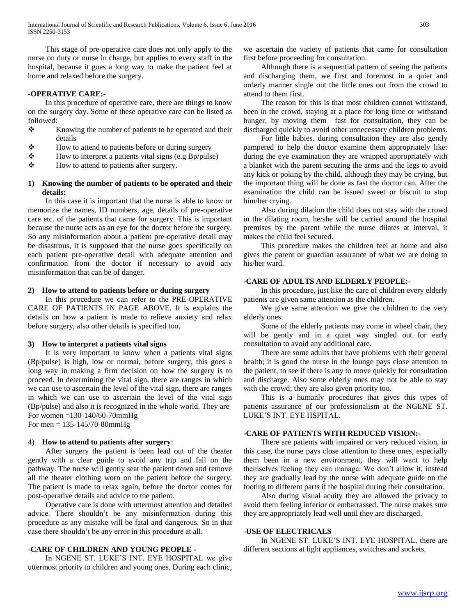This stage of pre-operative care does not only apply to the nurse on duty or nurse in charge, but applies to every staff in the hospital, because it goes a long way to make the patient feel at home and relaxed before the surgery.

#### **-OPERATIVE CARE:-**

 In this procedure of operative care, there are things to know on the surgery day. Some of these operative care can be listed as followed:

- \* Knowing the number of patients to be operated and their details
- $\triangle$  How to attend to patients before or during surgery
- $\div$  How to interpret a patients vital signs (e.g Bp/pulse)
- How to attend to patients after surgery.

## **1) Knowing the number of patients to be operated and their details:**

 In this case it is important that the nurse is able to know or memorize the names, ID numbers, age, details of pre-operative care etc. of the patients that came for surgery. This is important because the nurse acts as an eye for the doctor before the surgery. So any misinformation about a patient pre-operative detail may be disastrous, it is supposed that the nurse goes specifically on each patient pre-operative detail with adequate attention and confirmation from the doctor if necessary to avoid any misinformation that can be of danger.

#### **2) How to attend to patients before or during surgery**

 In this procedure we can refer to the PRE-OPERATIVE CARE OF PATIENTS IN PAGE ABOVE. It is explains the details on how a patient is made to relieve anxiety and relax before surgery, also other details is specified too.

#### **3) How to interpret a patients vital signs**

 It is very important to know when a patients vital signs (Bp/pulse) is high, low or normal, before surgery, this goes a long way in making a firm decision on how the surgery is to proceed. In determining the vital sign, there are ranges in which we can use to ascertain the level of the vital sign, there are ranges in which we can use to ascertain the level of the vital sign (Bp/pulse) and also it is recognized in the whole world. They are For women =130-140/60-70mmHg For men = 135-145/70-80mmHg

#### 4) **How to attend to patients after surgery**:

 After surgery the patient is been lead out of the theater gently with a clear guide to avoid any trip and fall on the pathway. The nurse will gently seat the patient down and remove all the theater clothing worn on the patient before the surgery. The patient is made to relax again, before the doctor comes for post-operative details and advice to the patient.

 Operative care is done with uttermost attention and detailed advice. There shouldn't be any misinformation during this procedure as any mistake will be fatal and dangerous. So in that case there shouldn't be any error in this procedure at all.

#### **-CARE OF CHILDREN AND YOUNG PEOPLE -**

 In NGENE ST. LUKE'S INT. EYE HOSPITAL we give uttermost priority to children and young ones. During each clinic,

we ascertain the variety of patients that came for consultation first before proceeding for consultation.

 Although there is a sequential pattern of seeing the patients and discharging them, we first and foremost in a quiet and orderly manner single out the little ones out from the crowd to attend to them first.

 The reason for this is that most children cannot withstand, been in the crowd, staying at a place for long time or withstand hunger, by moving them fast for consultation, they can be discharged quickly to avoid other unnecessary children problems.

 For little babies, during consultation they are also gently pampered to help the doctor examine them appropriately like: during the eye examination they are wrapped appropriately with a blanket with the parent securing the arms and the legs to avoid any kick or poking by the child, although they may be crying, but the important thing will be done as fast the doctor can. After the examination the child can be issued sweet or biscuit to stop him/her crying.

 Also during dilation the child does not stay with the crowd in the dilating room, he/she will be carried around the hospital premises by the parent while the nurse dilates at interval, it makes the child feel secured.

 This procedure makes the children feel at home and also gives the parent or guardian assurance of what we are doing to his/her ward.

#### **-CARE OF ADULTS AND ELDERLY PEOPLE:-**

 In this procedure, just like the care of children every elderly patients are given same attention as the children.

 We give same attention we give the children to the very elderly ones.

 Some of the elderly patients may come in wheel chair, they will be gently and in a quiet way singled out for early consultation to avoid any additional care.

 There are some adults that have problems with their general health; it is good the nurse in the lounge pays close attention to the patient, to see if there is any to move quickly for consultation and discharge. Also some elderly ones may not be able to stay with the crowd; they are also given priority too.

 This is a humanly procedures that gives this types of patients assurance of our professionalism at the NGENE ST. LUKE'S INT. EYE HSPITAL.

#### **-CARE OF PATIENTS WITH REDUCED VISION:-**

 There are patients with impaired or very reduced vision, in this case, the nurse pays close attention to these ones, especially them been in a new environment, they will want to help themselves feeling they can manage. We don't allow it, instead they are gradually lead by the nurse with adequate guide on the footing to different parts if the hospital during their consultation.

 Also during visual acuity they are allowed the privacy to avoid them feeling inferior or embarrassed. The nurse makes sure they are appropriately lead well until they are discharged.

#### **-USE OF ELECTRICALS**

 In NGENE ST. LUKE'S INT. EYE HOSPITAL, there are different sections at light appliances, switches and sockets.